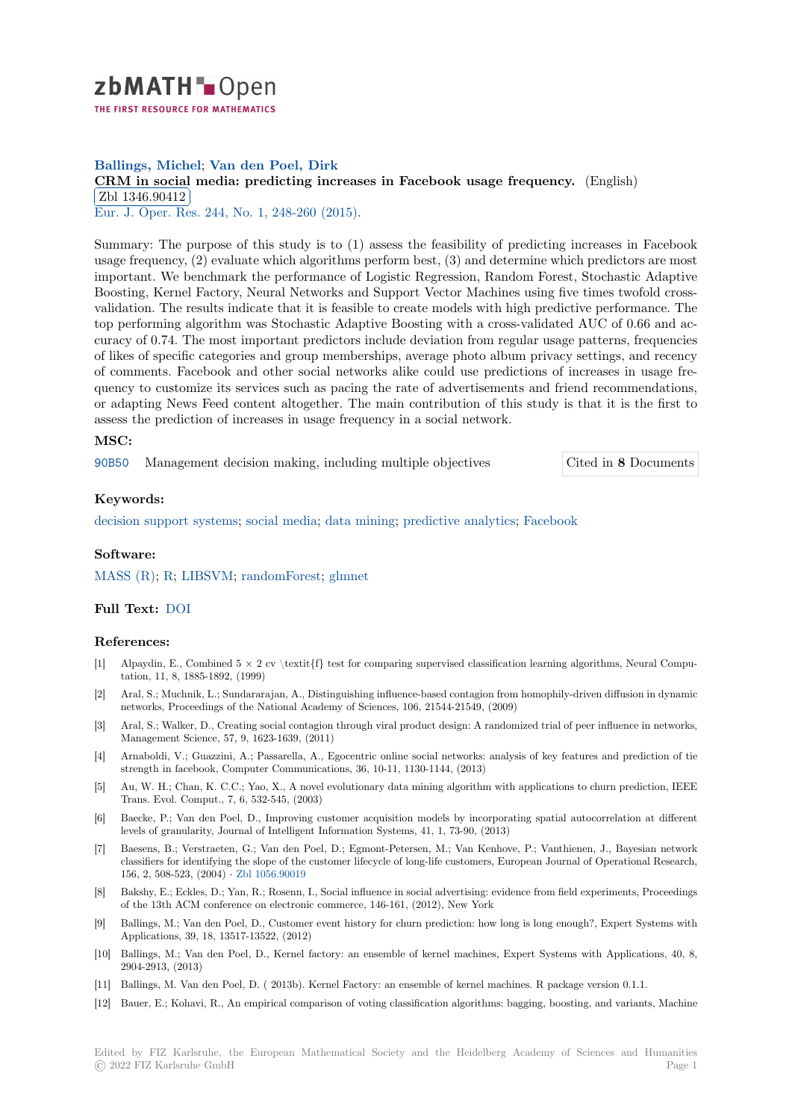

## **Ballings, Michel**; **Van den Poel, Dirk**

# **[C](https://zbmath.org/)RM in social media: predicting increases in Facebook usage frequency.** (English) Zbl 1346.90412

Eur. J. Oper. Res. 244, No. 1, 248-260 (2015).

[Summary: The purpose of this study is to \(1\) assess the feasibility of predicting in](https://zbmath.org/1346.90412)creases in Facebook [usage frequency, \(](https://zbmath.org/1346.90412)2) evaluate which algorithms perform best, (3) and determine which predictors are most [important. We ben](https://zbmath.org/journals/?q=se:1574)[chmark the performance of](https://zbmath.org/?q=in:359341) Logistic Regression, Random Forest, Stochastic Adaptive Boosting, Kernel Factory, Neural Networks and Support Vector Machines using five times twofold crossvalidation. The results indicate that it is feasible to create models with high predictive performance. The top performing algorithm was Stochastic Adaptive Boosting with a cross-validated AUC of 0.66 and accuracy of 0.74. The most important predictors include deviation from regular usage patterns, frequencies of likes of specific categories and group memberships, average photo album privacy settings, and recency of comments. Facebook and other social networks alike could use predictions of increases in usage frequency to customize its services such as pacing the rate of advertisements and friend recommendations, or adapting News Feed content altogether. The main contribution of this study is that it is the first to assess the prediction of increases in usage frequency in a social network.

## **MSC:**

90B50 Management decision making, including multiple objectives Cited in **8** Documents

### **Keywords:**

[decisio](https://zbmath.org/classification/?q=cc:90B50)n support systems; social media; data mining; predictive analytics; Facebo[ok](https://zbmath.org/?q=rf:1346.90412|6633504)

### **Software:**

[MASS \(R\);](https://zbmath.org/?q=ut:decision+support+systems) R; LIBSVM; [randomForest](https://zbmath.org/?q=ut:social+media); [glmnet](https://zbmath.org/?q=ut:data+mining)

## **Full Text:** DOI

#### **[Reference](https://swmath.org/software/4479)[s:](https://swmath.org/software/771)**

- [1] Alpaydin, E., Combined  $5 \times 2$  cv \textit{f} test for comparing supervised classification learning algorithms, Neural Computation, 11[, 8, 18](https://dx.doi.org/10.1016/j.ejor.2015.01.001)85-1892, (1999)
- [2] Aral, S.; Muchnik, L.; Sundararajan, A., Distinguishing influence-based contagion from homophily-driven diffusion in dynamic networks, Proceedings of the National Academy of Sciences, 106, 21544-21549, (2009)
- [3] Aral, S.; Walker, D., Creating social contagion through viral product design: A randomized trial of peer influence in networks, Management Science, 57, 9, 1623-1639, (2011)
- [4] Arnaboldi, V.; Guazzini, A.; Passarella, A., Egocentric online social networks: analysis of key features and prediction of tie strength in facebook, Computer Communications, 36, 10-11, 1130-1144, (2013)
- [5] Au, W. H.; Chan, K. C.C.; Yao, X., A novel evolutionary data mining algorithm with applications to churn prediction, IEEE Trans. Evol. Comput., 7, 6, 532-545, (2003)
- [6] Baecke, P.; Van den Poel, D., Improving customer acquisition models by incorporating spatial autocorrelation at different levels of granularity, Journal of Intelligent Information Systems, 41, 1, 73-90, (2013)
- [7] Baesens, B.; Verstraeten, G.; Van den Poel, D.; Egmont-Petersen, M.; Van Kenhove, P.; Vanthienen, J., Bayesian network classifiers for identifying the slope of the customer lifecycle of long-life customers, European Journal of Operational Research, 156, 2, 508-523, (2004) *·* Zbl 1056.90019
- [8] Bakshy, E.; Eckles, D.; Yan, R.; Rosenn, I., Social influence in social advertising: evidence from field experiments, Proceedings of the 13th ACM conference on electronic commerce, 146-161, (2012), New York
- [9] Ballings, M.; Van den Poel, D., Customer event history for churn prediction: how long is long enough?, Expert Systems with Applications, 39, 18, 135[17-13522, \(2012](https://zbmath.org/1056.90019))
- [10] Ballings, M.; Van den Poel, D., Kernel factory: an ensemble of kernel machines, Expert Systems with Applications, 40, 8, 2904-2913, (2013)
- [11] Ballings, M. Van den Poel, D. ( 2013b). Kernel Factory: an ensemble of kernel machines. R package version 0.1.1.
- [12] Bauer, E.; Kohavi, R., An empirical comparison of voting classification algorithms: bagging, boosting, and variants, Machine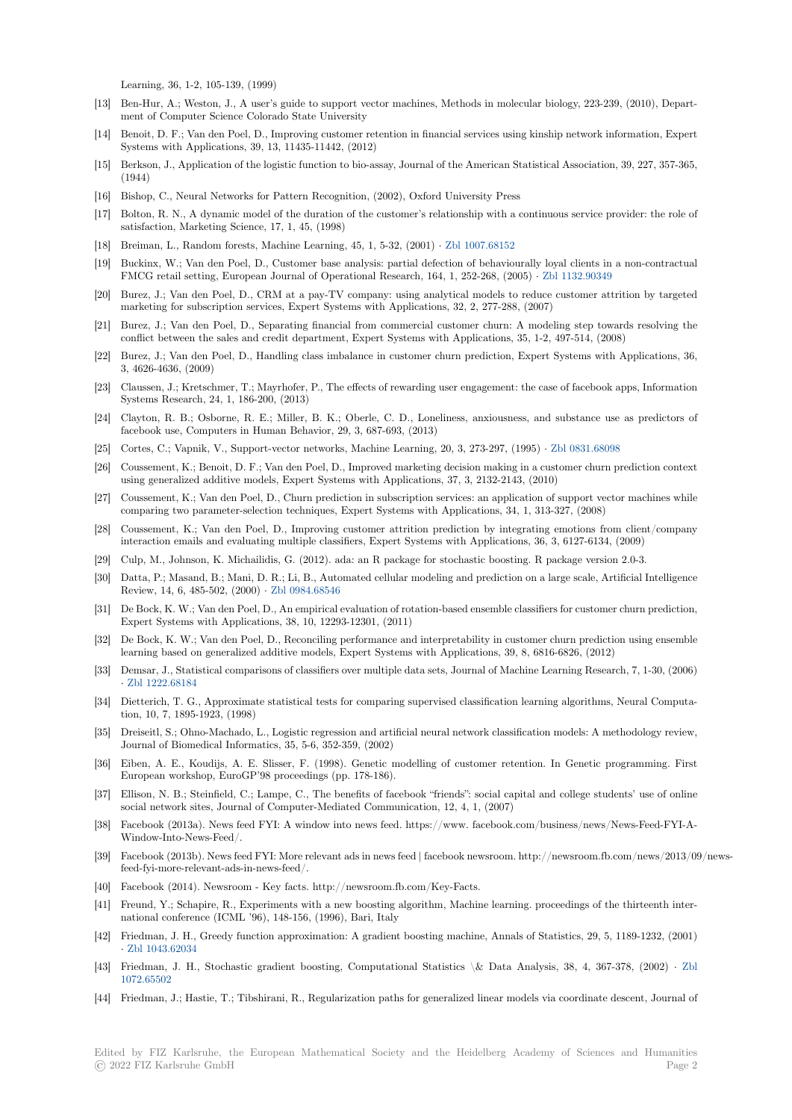Learning, 36, 1-2, 105-139, (1999)

- [13] Ben-Hur, A.; Weston, J., A user's guide to support vector machines, Methods in molecular biology, 223-239, (2010), Department of Computer Science Colorado State University
- [14] Benoit, D. F.; Van den Poel, D., Improving customer retention in financial services using kinship network information, Expert Systems with Applications, 39, 13, 11435-11442, (2012)
- [15] Berkson, J., Application of the logistic function to bio-assay, Journal of the American Statistical Association, 39, 227, 357-365, (1944)
- [16] Bishop, C., Neural Networks for Pattern Recognition, (2002), Oxford University Press
- [17] Bolton, R. N., A dynamic model of the duration of the customer's relationship with a continuous service provider: the role of satisfaction, Marketing Science, 17, 1, 45, (1998)
- [18] Breiman, L., Random forests, Machine Learning, 45, 1, 5-32, (2001) *·* Zbl 1007.68152
- [19] Buckinx, W.; Van den Poel, D., Customer base analysis: partial defection of behaviourally loyal clients in a non-contractual FMCG retail setting, European Journal of Operational Research, 164, 1, 252-268, (2005) *·* Zbl 1132.90349
- [20] Burez, J.; Van den Poel, D., CRM at a pay-TV company: using analytical models to reduce customer attrition by targeted marketing for subscription services, Expert Systems with Application[s, 32, 2, 277-288](https://zbmath.org/1007.68152), (2007)
- [21] Burez, J.; Van den Poel, D., Separating financial from commercial customer churn: A modeling step towards resolving the conflict between the sales and credit department, Expert Systems with Applications, 35, 1[-2, 497-514, \(200](https://zbmath.org/1132.90349)8)
- [22] Burez, J.; Van den Poel, D., Handling class imbalance in customer churn prediction, Expert Systems with Applications, 36, 3, 4626-4636, (2009)
- [23] Claussen, J.; Kretschmer, T.; Mayrhofer, P., The effects of rewarding user engagement: the case of facebook apps, Information Systems Research, 24, 1, 186-200, (2013)
- [24] Clayton, R. B.; Osborne, R. E.; Miller, B. K.; Oberle, C. D., Loneliness, anxiousness, and substance use as predictors of facebook use, Computers in Human Behavior, 29, 3, 687-693, (2013)
- [25] Cortes, C.; Vapnik, V., Support-vector networks, Machine Learning, 20, 3, 273-297, (1995) *·* Zbl 0831.68098
- [26] Coussement, K.; Benoit, D. F.; Van den Poel, D., Improved marketing decision making in a customer churn prediction context using generalized additive models, Expert Systems with Applications, 37, 3, 2132-2143, (2010)
- [27] Coussement, K.; Van den Poel, D., Churn prediction in subscription services: an application of support vector machines while comparing two parameter-selection techniques, Expert Systems with Applications, 34, 1, 31[3-327, \(2008\)](https://zbmath.org/0831.68098)
- [28] Coussement, K.; Van den Poel, D., Improving customer attrition prediction by integrating emotions from client/company interaction emails and evaluating multiple classifiers, Expert Systems with Applications, 36, 3, 6127-6134, (2009)
- [29] Culp, M., Johnson, K. Michailidis, G. (2012). ada: an R package for stochastic boosting. R package version 2.0-3.
- [30] Datta, P.; Masand, B.; Mani, D. R.; Li, B., Automated cellular modeling and prediction on a large scale, Artificial Intelligence Review, 14, 6, 485-502, (2000) *·* Zbl 0984.68546
- [31] De Bock, K. W.; Van den Poel, D., An empirical evaluation of rotation-based ensemble classifiers for customer churn prediction, Expert Systems with Applications, 38, 10, 12293-12301, (2011)
- [32] De Bock, K. W.; Van den Poel, D., Reconciling performance and interpretability in customer churn prediction using ensemble learning based on generalized a[dditive models, E](https://zbmath.org/0984.68546)xpert Systems with Applications, 39, 8, 6816-6826, (2012)
- [33] Demsar, J., Statistical comparisons of classifiers over multiple data sets, Journal of Machine Learning Research, 7, 1-30, (2006) *·* Zbl 1222.68184
- [34] Dietterich, T. G., Approximate statistical tests for comparing supervised classification learning algorithms, Neural Computation, 10, 7, 1895-1923, (1998)
- [35] Dreiseitl, S.; Ohno-Machado, L., Logistic regression and artificial neural network classification models: A methodology review, J[ournal of Biome](https://zbmath.org/1222.68184)dical Informatics, 35, 5-6, 352-359, (2002)
- [36] Eiben, A. E., Koudijs, A. E. Slisser, F. (1998). Genetic modelling of customer retention. In Genetic programming. First European workshop, EuroGP'98 proceedings (pp. 178-186).
- [37] Ellison, N. B.; Steinfield, C.; Lampe, C., The benefits of facebook "friends": social capital and college students' use of online social network sites, Journal of Computer-Mediated Communication, 12, 4, 1, (2007)
- [38] Facebook (2013a). News feed FYI: A window into news feed. https://www. facebook.com/business/news/News-Feed-FYI-A-Window-Into-News-Feed/.
- [39] Facebook (2013b). News feed FYI: More relevant ads in news feed | facebook newsroom. http://newsroom.fb.com/news/2013/09/newsfeed-fyi-more-relevant-ads-in-news-feed/.
- [40] Facebook (2014). Newsroom Key facts. http://newsroom.fb.com/Key-Facts.
- [41] Freund, Y.; Schapire, R., Experiments with a new boosting algorithm, Machine learning. proceedings of the thirteenth international conference (ICML '96), 148-156, (1996), Bari, Italy
- [42] Friedman, J. H., Greedy function approximation: A gradient boosting machine, Annals of Statistics, 29, 5, 1189-1232, (2001) *·* Zbl 1043.62034
- [43] Friedman, J. H., Stochastic gradient boosting, Computational Statistics \& Data Analysis, 38, 4, 367-378, (2002) *·* Zbl 1072.65502
- [44] Friedman, J.; Hastie, T.; Tibshirani, R., Regularization paths for generalized linear models via coordinate descent, Journal of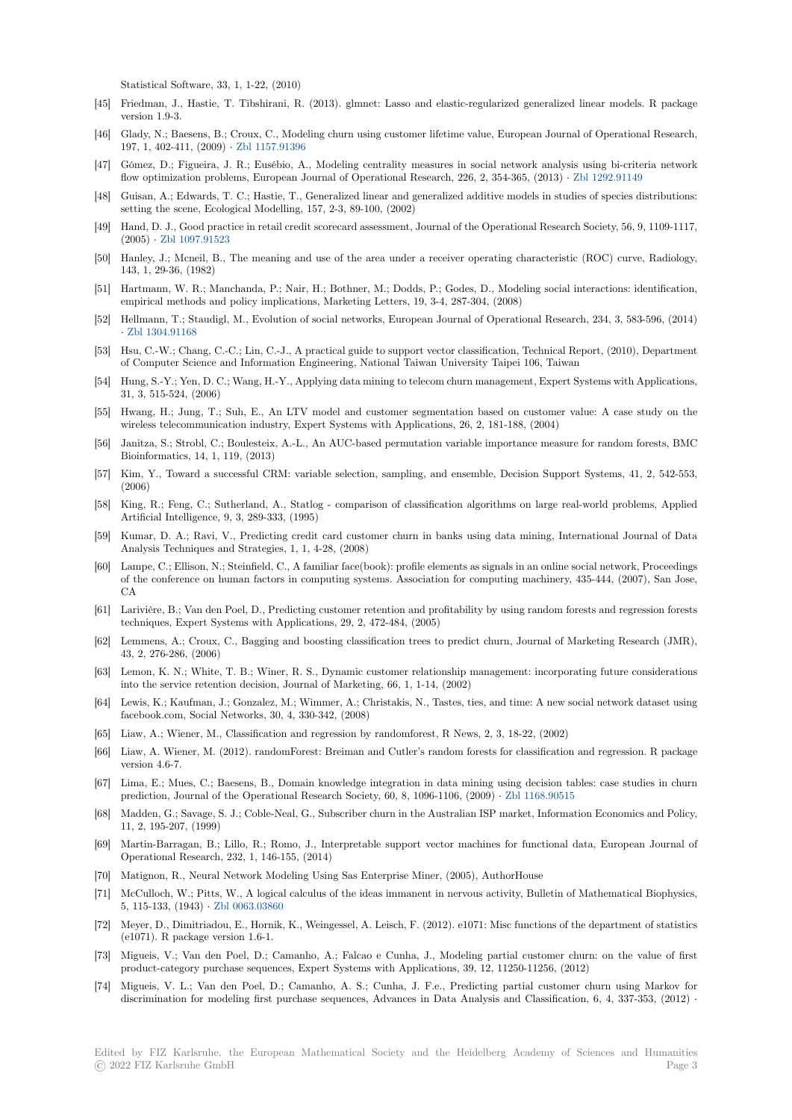Statistical Software, 33, 1, 1-22, (2010)

- [45] Friedman, J., Hastie, T. Tibshirani, R. (2013). glmnet: Lasso and elastic-regularized generalized linear models. R package version 1.9-3.
- [46] Glady, N.; Baesens, B.; Croux, C., Modeling churn using customer lifetime value, European Journal of Operational Research, 197, 1, 402-411, (2009) *·* Zbl 1157.91396
- [47] Gómez, D.; Figueira, J. R.; Eusébio, A., Modeling centrality measures in social network analysis using bi-criteria network flow optimization problems, European Journal of Operational Research, 226, 2, 354-365, (2013) *·* Zbl 1292.91149
- [48] Guisan, A.; Edwards, T. C.; Hastie, T., Generalized linear and generalized additive models in studies of species distributions: setting the scene, Ecolog[ical Modelling,](https://zbmath.org/1157.91396) 157, 2-3, 89-100, (2002)
- [49] Hand, D. J., Good practice in retail credit scorecard assessment, Journal of the Operational Research Society, 56, 9, 1109-1117, (2005) *·* Zbl 1097.91523
- [50] Hanley, J.; Mcneil, B., The meaning and use of the area under a receiver operating characteristic (ROC) curve, Radiology, 143, 1, 29-36, (1982)
- [51] Hartmann, W. R.; Manchanda, P.; Nair, H.; Bothner, M.; Dodds, P.; Godes, D., Modeling social interactions: identification, empirica[l methods and p](https://zbmath.org/1097.91523)olicy implications, Marketing Letters, 19, 3-4, 287-304, (2008)
- [52] Hellmann, T.; Staudigl, M., Evolution of social networks, European Journal of Operational Research, 234, 3, 583-596, (2014) *·* Zbl 1304.91168
- [53] Hsu, C.-W.; Chang, C.-C.; Lin, C.-J., A practical guide to support vector classification, Technical Report, (2010), Department of Computer Science and Information Engineering, National Taiwan University Taipei 106, Taiwan
- [54] Hung, S.-Y.; Yen, D. C.; Wang, H.-Y., Applying data mining to telecom churn management, Expert Systems with Applications, 3[1, 3, 515-524, \(2](https://zbmath.org/1304.91168)006)
- [55] Hwang, H.; Jung, T.; Suh, E., An LTV model and customer segmentation based on customer value: A case study on the wireless telecommunication industry, Expert Systems with Applications, 26, 2, 181-188, (2004)
- [56] Janitza, S.; Strobl, C.; Boulesteix, A.-L., An AUC-based permutation variable importance measure for random forests, BMC Bioinformatics, 14, 1, 119, (2013)
- [57] Kim, Y., Toward a successful CRM: variable selection, sampling, and ensemble, Decision Support Systems, 41, 2, 542-553, (2006)
- [58] King, R.; Feng, C.; Sutherland, A., Statlog comparison of classification algorithms on large real-world problems, Applied Artificial Intelligence, 9, 3, 289-333, (1995)
- [59] Kumar, D. A.; Ravi, V., Predicting credit card customer churn in banks using data mining, International Journal of Data Analysis Techniques and Strategies, 1, 1, 4-28, (2008)
- [60] Lampe, C.; Ellison, N.; Steinfield, C., A familiar face(book): profile elements as signals in an online social network, Proceedings of the conference on human factors in computing systems. Association for computing machinery, 435-444, (2007), San Jose,  $_{\rm CA}$
- [61] Larivière, B.; Van den Poel, D., Predicting customer retention and profitability by using random forests and regression forests techniques, Expert Systems with Applications, 29, 2, 472-484, (2005)
- [62] Lemmens, A.; Croux, C., Bagging and boosting classification trees to predict churn, Journal of Marketing Research (JMR), 43, 2, 276-286, (2006)
- [63] Lemon, K. N.; White, T. B.; Winer, R. S., Dynamic customer relationship management: incorporating future considerations into the service retention decision, Journal of Marketing, 66, 1, 1-14, (2002)
- [64] Lewis, K.; Kaufman, J.; Gonzalez, M.; Wimmer, A.; Christakis, N., Tastes, ties, and time: A new social network dataset using facebook.com, Social Networks, 30, 4, 330-342, (2008)
- [65] Liaw, A.; Wiener, M., Classification and regression by randomforest, R News, 2, 3, 18-22, (2002)
- [66] Liaw, A. Wiener, M. (2012). randomForest: Breiman and Cutler's random forests for classification and regression. R package version 4.6-7.
- [67] Lima, E.; Mues, C.; Baesens, B., Domain knowledge integration in data mining using decision tables: case studies in churn prediction, Journal of the Operational Research Society, 60, 8, 1096-1106, (2009) *·* Zbl 1168.90515
- [68] Madden, G.; Savage, S. J.; Coble-Neal, G., Subscriber churn in the Australian ISP market, Information Economics and Policy, 11, 2, 195-207, (1999)
- [69] Martin-Barragan, B.; Lillo, R.; Romo, J., Interpretable support vector machines for functional data, European Journal of Operational Research, 232, 1, 146-155, (2014)
- [70] Matignon, R., Neural Network Modeling Using Sas Enterprise Miner, (2005), AuthorHouse
- [71] McCulloch, W.; Pitts, W., A logical calculus of the ideas immanent in nervous activity, Bulletin of Mathematical Biophysics, 5, 115-133, (1943) *·* Zbl 0063.03860
- [72] Meyer, D., Dimitriadou, E., Hornik, K., Weingessel, A. Leisch, F. (2012). e1071: Misc functions of the department of statistics (e1071). R package version 1.6-1.
- [73] Migueis, V.; Van den Poel, D.; Camanho, A.; Falcao e Cunha, J., Modeling partial customer churn: on the value of first product-category p[urchase sequence](https://zbmath.org/0063.03860)s, Expert Systems with Applications, 39, 12, 11250-11256, (2012)
- [74] Migueis, V. L.; Van den Poel, D.; Camanho, A. S.; Cunha, J. F.e., Predicting partial customer churn using Markov for discrimination for modeling first purchase sequences, Advances in Data Analysis and Classification, 6, 4, 337-353, (2012) *·*